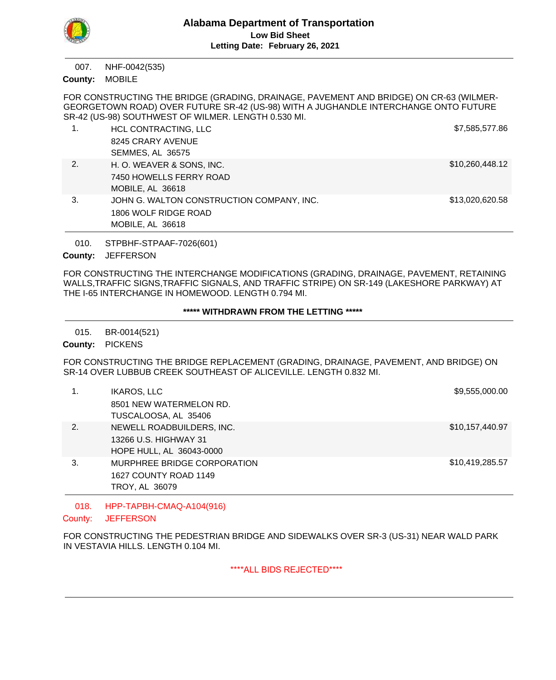

NHF-0042(535) 007.

MOBILE **County:**

FOR CONSTRUCTING THE BRIDGE (GRADING, DRAINAGE, PAVEMENT AND BRIDGE) ON CR-63 (WILMER-GEORGETOWN ROAD) OVER FUTURE SR-42 (US-98) WITH A JUGHANDLE INTERCHANGE ONTO FUTURE SR-42 (US-98) SOUTHWEST OF WILMER. LENGTH 0.530 MI.

|    | HCL CONTRACTING, LLC                      | \$7,585,577.86  |
|----|-------------------------------------------|-----------------|
|    | 8245 CRARY AVENUE                         |                 |
|    | <b>SEMMES, AL 36575</b>                   |                 |
| 2. | H. O. WEAVER & SONS, INC.                 | \$10,260,448.12 |
|    | 7450 HOWELLS FERRY ROAD                   |                 |
|    | MOBILE, AL 36618                          |                 |
| 3. | JOHN G. WALTON CONSTRUCTION COMPANY, INC. | \$13,020,620.58 |
|    | 1806 WOLF RIDGE ROAD                      |                 |
|    | MOBILE, AL 36618                          |                 |

STPBHF-STPAAF-7026(601) 010.

County: JEFFERSON

FOR CONSTRUCTING THE INTERCHANGE MODIFICATIONS (GRADING, DRAINAGE, PAVEMENT, RETAINING WALLS,TRAFFIC SIGNS,TRAFFIC SIGNALS, AND TRAFFIC STRIPE) ON SR-149 (LAKESHORE PARKWAY) AT THE I-65 INTERCHANGE IN HOMEWOOD. LENGTH 0.794 MI.

# **\*\*\*\*\* WITHDRAWN FROM THE LETTING \*\*\*\*\***

BR-0014(521) 015.

County: PICKENS

FOR CONSTRUCTING THE BRIDGE REPLACEMENT (GRADING, DRAINAGE, PAVEMENT, AND BRIDGE) ON SR-14 OVER LUBBUB CREEK SOUTHEAST OF ALICEVILLE. LENGTH 0.832 MI.

|    | <b>IKAROS, LLC</b>          | \$9,555,000.00  |
|----|-----------------------------|-----------------|
|    | 8501 NEW WATERMELON RD.     |                 |
|    | TUSCALOOSA, AL 35406        |                 |
| 2. | NEWELL ROADBUILDERS, INC.   | \$10,157,440.97 |
|    | 13266 U.S. HIGHWAY 31       |                 |
|    | HOPE HULL, AL 36043-0000    |                 |
| 3. | MURPHREE BRIDGE CORPORATION | \$10,419,285.57 |
|    | 1627 COUNTY ROAD 1149       |                 |
|    | TROY, AL 36079              |                 |

### HPP-TAPBH-CMAQ-A104(916) 018.

**JEFFERSON** County:

FOR CONSTRUCTING THE PEDESTRIAN BRIDGE AND SIDEWALKS OVER SR-3 (US-31) NEAR WALD PARK IN VESTAVIA HILLS. LENGTH 0.104 MI.

# \*\*\*\*ALL BIDS REJECTED\*\*\*\*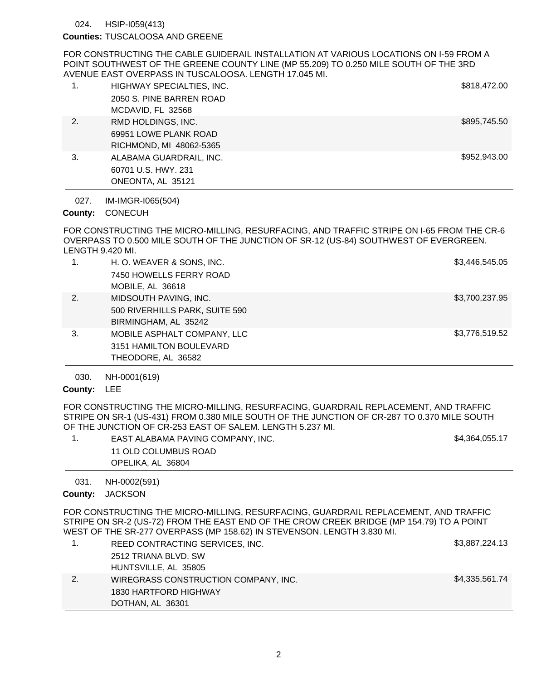HSIP-I059(413) 024.

### Counties: TUSCALOOSA AND GREENE

FOR CONSTRUCTING THE CABLE GUIDERAIL INSTALLATION AT VARIOUS LOCATIONS ON I-59 FROM A POINT SOUTHWEST OF THE GREENE COUNTY LINE (MP 55.209) TO 0.250 MILE SOUTH OF THE 3RD AVENUE EAST OVERPASS IN TUSCALOOSA. LENGTH 17.045 MI.

|    | HIGHWAY SPECIALTIES, INC. | \$818,472.00 |
|----|---------------------------|--------------|
|    | 2050 S. PINE BARREN ROAD  |              |
|    | MCDAVID, FL 32568         |              |
| 2. | RMD HOLDINGS, INC.        | \$895,745.50 |
|    | 69951 LOWE PLANK ROAD     |              |
|    | RICHMOND, MI 48062-5365   |              |
| 3. | ALABAMA GUARDRAIL, INC.   | \$952,943,00 |
|    | 60701 U.S. HWY, 231       |              |
|    | ONEONTA, AL 35121         |              |

IM-IMGR-I065(504) 027.

# County: CONECUH

FOR CONSTRUCTING THE MICRO-MILLING, RESURFACING, AND TRAFFIC STRIPE ON I-65 FROM THE CR-6 OVERPASS TO 0.500 MILE SOUTH OF THE JUNCTION OF SR-12 (US-84) SOUTHWEST OF EVERGREEN. LENGTH 9.420 MI.

| 1. | H. O. WEAVER & SONS, INC.<br>7450 HOWELLS FERRY ROAD<br>MOBILE, AL 36618        | \$3,446,545.05 |
|----|---------------------------------------------------------------------------------|----------------|
| 2. | MIDSOUTH PAVING, INC.<br>500 RIVERHILLS PARK, SUITE 590<br>BIRMINGHAM, AL 35242 | \$3,700,237.95 |
| 3. | MOBILE ASPHALT COMPANY, LLC<br>3151 HAMILTON BOULEVARD<br>THEODORE, AL 36582    | \$3,776,519.52 |

NH-0001(619) 030.

# County: LEE

FOR CONSTRUCTING THE MICRO-MILLING, RESURFACING, GUARDRAIL REPLACEMENT, AND TRAFFIC STRIPE ON SR-1 (US-431) FROM 0.380 MILE SOUTH OF THE JUNCTION OF CR-287 TO 0.370 MILE SOUTH OF THE JUNCTION OF CR-253 EAST OF SALEM. LENGTH 5.237 MI.

| EAST ALABAMA PAVING COMPANY, INC. | \$4,364,055.17 |
|-----------------------------------|----------------|
| 11 OLD COLUMBUS ROAD              |                |
| OPELIKA, AL 36804                 |                |

NH-0002(591) 031.

### County: JACKSON

FOR CONSTRUCTING THE MICRO-MILLING, RESURFACING, GUARDRAIL REPLACEMENT, AND TRAFFIC STRIPE ON SR-2 (US-72) FROM THE EAST END OF THE CROW CREEK BRIDGE (MP 154.79) TO A POINT WEST OF THE SR-277 OVERPASS (MP 158.62) IN STEVENSON. LENGTH 3.830 MI.

| REED CONTRACTING SERVICES, INC.      | \$3,887,224.13 |
|--------------------------------------|----------------|
| 2512 TRIANA BLVD, SW                 |                |
| HUNTSVILLE, AL 35805                 |                |
| WIREGRASS CONSTRUCTION COMPANY, INC. | \$4,335,561.74 |
| 1830 HARTFORD HIGHWAY                |                |
| DOTHAN, AL 36301                     |                |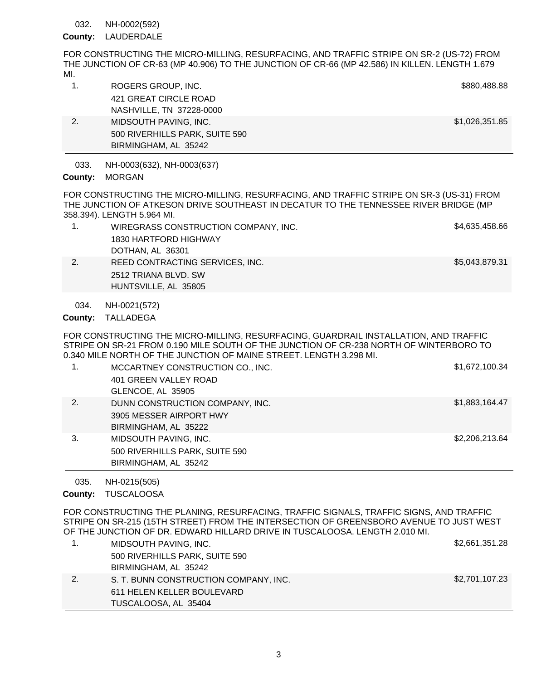#### NH-0002(592) 032.

## County: LAUDERDALE

FOR CONSTRUCTING THE MICRO-MILLING, RESURFACING, AND TRAFFIC STRIPE ON SR-2 (US-72) FROM THE JUNCTION OF CR-63 (MP 40.906) TO THE JUNCTION OF CR-66 (MP 42.586) IN KILLEN. LENGTH 1.679 MI.

|    | ROGERS GROUP, INC.             | \$880,488.88   |
|----|--------------------------------|----------------|
|    | 421 GREAT CIRCLE ROAD          |                |
|    | NASHVILLE, TN 37228-0000       |                |
| 2. | MIDSOUTH PAVING, INC.          | \$1,026,351.85 |
|    | 500 RIVERHILLS PARK, SUITE 590 |                |
|    | BIRMINGHAM, AL 35242           |                |

NH-0003(632), NH-0003(637) 033.

HUNTSVILLE, AL 35805

## County: MORGAN

FOR CONSTRUCTING THE MICRO-MILLING, RESURFACING, AND TRAFFIC STRIPE ON SR-3 (US-31) FROM THE JUNCTION OF ATKESON DRIVE SOUTHEAST IN DECATUR TO THE TENNESSEE RIVER BRIDGE (MP 358.394). LENGTH 5.964 MI.

| WIREGRASS CONSTRUCTION COMPANY, INC. | \$4,635,458.66 |
|--------------------------------------|----------------|
| 1830 HARTFORD HIGHWAY                |                |
| DOTHAN, AL 36301                     |                |
| REED CONTRACTING SERVICES, INC.      | \$5,043,879.31 |
| 2512 TRIANA BLVD, SW                 |                |

NH-0021(572) 034.

County: TALLADEGA

FOR CONSTRUCTING THE MICRO-MILLING, RESURFACING, GUARDRAIL INSTALLATION, AND TRAFFIC STRIPE ON SR-21 FROM 0.190 MILE SOUTH OF THE JUNCTION OF CR-238 NORTH OF WINTERBORO TO 0.340 MILE NORTH OF THE JUNCTION OF MAINE STREET. LENGTH 3.298 MI.

| 1. | MCCARTNEY CONSTRUCTION CO., INC.<br>401 GREEN VALLEY ROAD<br>GLENCOE, AL 35905     | \$1,672,100.34 |
|----|------------------------------------------------------------------------------------|----------------|
| 2. | DUNN CONSTRUCTION COMPANY, INC.<br>3905 MESSER AIRPORT HWY<br>BIRMINGHAM, AL 35222 | \$1,883,164.47 |
| 3. | MIDSOUTH PAVING, INC.<br>500 RIVERHILLS PARK, SUITE 590<br>BIRMINGHAM, AL 35242    | \$2,206,213.64 |

NH-0215(505) 035.

### County: TUSCALOOSA

FOR CONSTRUCTING THE PLANING, RESURFACING, TRAFFIC SIGNALS, TRAFFIC SIGNS, AND TRAFFIC STRIPE ON SR-215 (15TH STREET) FROM THE INTERSECTION OF GREENSBORO AVENUE TO JUST WEST OF THE JUNCTION OF DR. EDWARD HILLARD DRIVE IN TUSCALOOSA. LENGTH 2.010 MI.

| MIDSOUTH PAVING, INC.                 | \$2,661,351.28 |
|---------------------------------------|----------------|
| 500 RIVERHILLS PARK, SUITE 590        |                |
| BIRMINGHAM, AL 35242                  |                |
| S. T. BUNN CONSTRUCTION COMPANY, INC. | \$2,701,107.23 |
| 611 HELEN KELLER BOULEVARD            |                |
| TUSCALOOSA, AL 35404                  |                |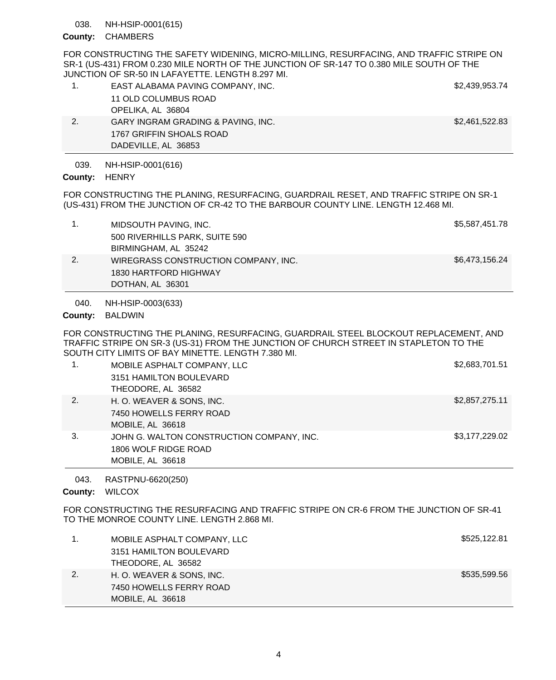#### NH-HSIP-0001(615) 038.

## County: CHAMBERS

FOR CONSTRUCTING THE SAFETY WIDENING, MICRO-MILLING, RESURFACING, AND TRAFFIC STRIPE ON SR-1 (US-431) FROM 0.230 MILE NORTH OF THE JUNCTION OF SR-147 TO 0.380 MILE SOUTH OF THE JUNCTION OF SR-50 IN LAFAYETTE. LENGTH 8.297 MI.

|    | EAST ALABAMA PAVING COMPANY, INC.  | \$2,439,953.74 |
|----|------------------------------------|----------------|
|    | 11 OLD COLUMBUS ROAD               |                |
|    | OPELIKA, AL 36804                  |                |
| 2. | GARY INGRAM GRADING & PAVING, INC. | \$2,461,522.83 |
|    | 1767 GRIFFIN SHOALS ROAD           |                |
|    | DADEVILLE, AL 36853                |                |

NH-HSIP-0001(616) 039.

## County: HENRY

FOR CONSTRUCTING THE PLANING, RESURFACING, GUARDRAIL RESET, AND TRAFFIC STRIPE ON SR-1 (US-431) FROM THE JUNCTION OF CR-42 TO THE BARBOUR COUNTY LINE. LENGTH 12.468 MI.

| MIDSOUTH PAVING, INC.                | \$5,587,451.78 |
|--------------------------------------|----------------|
| 500 RIVERHILLS PARK, SUITE 590       |                |
| BIRMINGHAM, AL 35242                 |                |
| WIREGRASS CONSTRUCTION COMPANY, INC. | \$6,473,156.24 |
| 1830 HARTFORD HIGHWAY                |                |
| DOTHAN, AL 36301                     |                |

#### NH-HSIP-0003(633) 040.

## County: BALDWIN

FOR CONSTRUCTING THE PLANING, RESURFACING, GUARDRAIL STEEL BLOCKOUT REPLACEMENT, AND TRAFFIC STRIPE ON SR-3 (US-31) FROM THE JUNCTION OF CHURCH STREET IN STAPLETON TO THE SOUTH CITY LIMITS OF BAY MINETTE. LENGTH 7.380 MI.

| 1. | MOBILE ASPHALT COMPANY, LLC               | \$2,683,701.51 |
|----|-------------------------------------------|----------------|
|    | 3151 HAMILTON BOULEVARD                   |                |
|    | THEODORE, AL 36582                        |                |
| 2. | H. O. WEAVER & SONS, INC.                 | \$2,857,275.11 |
|    | 7450 HOWELLS FERRY ROAD                   |                |
|    | MOBILE, AL 36618                          |                |
| 3. | JOHN G. WALTON CONSTRUCTION COMPANY, INC. | \$3,177,229.02 |
|    | 1806 WOLF RIDGE ROAD                      |                |
|    | MOBILE, AL 36618                          |                |

#### RASTPNU-6620(250) 043.

### County: WILCOX

FOR CONSTRUCTING THE RESURFACING AND TRAFFIC STRIPE ON CR-6 FROM THE JUNCTION OF SR-41 TO THE MONROE COUNTY LINE. LENGTH 2.868 MI.

| MOBILE ASPHALT COMPANY, LLC | \$525,122.81 |
|-----------------------------|--------------|
| 3151 HAMILTON BOULEVARD     |              |
| THEODORE, AL 36582          |              |
| H. O. WEAVER & SONS, INC.   | \$535,599.56 |
| 7450 HOWELLS FERRY ROAD     |              |
| MOBILE, AL 36618            |              |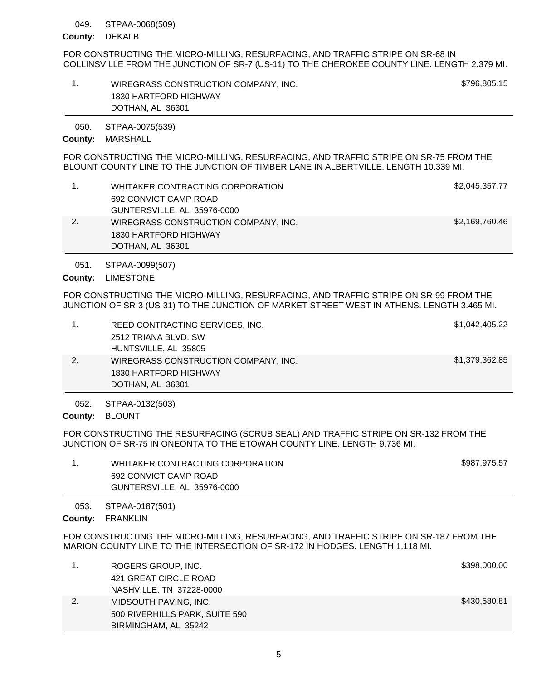#### STPAA-0068(509) 049.

### County: DEKALB

FOR CONSTRUCTING THE MICRO-MILLING, RESURFACING, AND TRAFFIC STRIPE ON SR-68 IN COLLINSVILLE FROM THE JUNCTION OF SR-7 (US-11) TO THE CHEROKEE COUNTY LINE. LENGTH 2.379 MI.

| WIREGRASS CONSTRUCTION COMPANY, INC. | \$796,805.15 |
|--------------------------------------|--------------|
| 1830 HARTFORD HIGHWAY                |              |
| DOTHAN, AL 36301                     |              |

STPAA-0075(539) 050.

### County: MARSHALL

FOR CONSTRUCTING THE MICRO-MILLING, RESURFACING, AND TRAFFIC STRIPE ON SR-75 FROM THE BLOUNT COUNTY LINE TO THE JUNCTION OF TIMBER LANE IN ALBERTVILLE. LENGTH 10.339 MI.

| WHITAKER CONTRACTING CORPORATION     | \$2,045,357.77 |
|--------------------------------------|----------------|
| 692 CONVICT CAMP ROAD                |                |
| GUNTERSVILLE, AL 35976-0000          |                |
| WIREGRASS CONSTRUCTION COMPANY, INC. | \$2,169,760.46 |
| 1830 HARTFORD HIGHWAY                |                |
| DOTHAN, AL 36301                     |                |

STPAA-0099(507) 051.

County: LIMESTONE

FOR CONSTRUCTING THE MICRO-MILLING, RESURFACING, AND TRAFFIC STRIPE ON SR-99 FROM THE JUNCTION OF SR-3 (US-31) TO THE JUNCTION OF MARKET STREET WEST IN ATHENS. LENGTH 3.465 MI.

|    | REED CONTRACTING SERVICES, INC.      | \$1,042,405.22 |
|----|--------------------------------------|----------------|
|    | 2512 TRIANA BLVD. SW                 |                |
|    | HUNTSVILLE, AL 35805                 |                |
| 2. | WIREGRASS CONSTRUCTION COMPANY, INC. | \$1,379,362.85 |
|    | 1830 HARTFORD HIGHWAY                |                |
|    | DOTHAN, AL 36301                     |                |

STPAA-0132(503) 052.

County: BLOUNT

FOR CONSTRUCTING THE RESURFACING (SCRUB SEAL) AND TRAFFIC STRIPE ON SR-132 FROM THE JUNCTION OF SR-75 IN ONEONTA TO THE ETOWAH COUNTY LINE. LENGTH 9.736 MI.

| WHITAKER CONTRACTING CORPORATION | \$987,975.57 |
|----------------------------------|--------------|
| 692 CONVICT CAMP ROAD            |              |
| GUNTERSVILLE, AL 35976-0000      |              |
|                                  |              |

STPAA-0187(501) 053.

County: FRANKLIN

FOR CONSTRUCTING THE MICRO-MILLING, RESURFACING, AND TRAFFIC STRIPE ON SR-187 FROM THE MARION COUNTY LINE TO THE INTERSECTION OF SR-172 IN HODGES. LENGTH 1.118 MI.

|    | ROGERS GROUP, INC.             | \$398,000.00 |
|----|--------------------------------|--------------|
|    | 421 GREAT CIRCLE ROAD          |              |
|    | NASHVILLE, TN 37228-0000       |              |
| 2. | MIDSOUTH PAVING, INC.          | \$430,580.81 |
|    | 500 RIVERHILLS PARK, SUITE 590 |              |
|    | BIRMINGHAM, AL 35242           |              |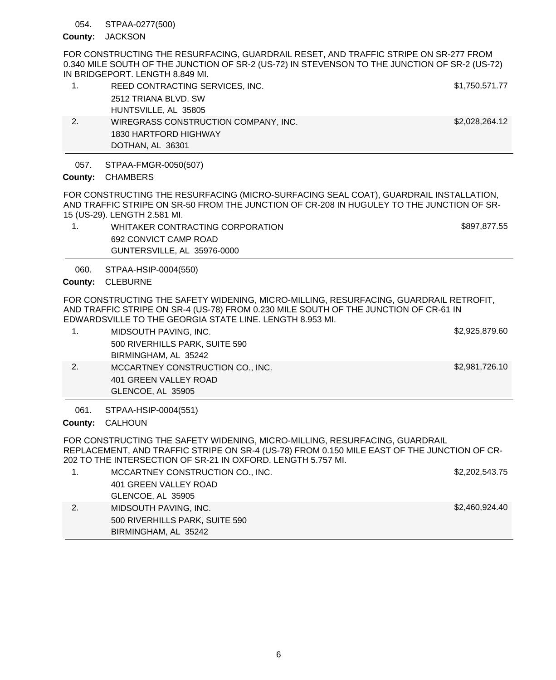#### STPAA-0277(500) 054.

### County: JACKSON

FOR CONSTRUCTING THE RESURFACING, GUARDRAIL RESET, AND TRAFFIC STRIPE ON SR-277 FROM 0.340 MILE SOUTH OF THE JUNCTION OF SR-2 (US-72) IN STEVENSON TO THE JUNCTION OF SR-2 (US-72) IN BRIDGEPORT. LENGTH 8.849 MI.

| 1. | REED CONTRACTING SERVICES, INC.      | \$1,750,571.77 |
|----|--------------------------------------|----------------|
|    | 2512 TRIANA BLVD, SW                 |                |
|    | HUNTSVILLE, AL 35805                 |                |
| 2. | WIREGRASS CONSTRUCTION COMPANY, INC. | \$2,028,264.12 |
|    | 1830 HARTFORD HIGHWAY                |                |
|    | DOTHAN, AL 36301                     |                |

#### STPAA-FMGR-0050(507) 057.

## County: CHAMBERS

FOR CONSTRUCTING THE RESURFACING (MICRO-SURFACING SEAL COAT), GUARDRAIL INSTALLATION, AND TRAFFIC STRIPE ON SR-50 FROM THE JUNCTION OF CR-208 IN HUGULEY TO THE JUNCTION OF SR-15 (US-29). LENGTH 2.581 MI.

1. WHITAKER CONTRACTING CORPORATION 6897,877.55 692 CONVICT CAMP ROAD GUNTERSVILLE, AL 35976-0000

STPAA-HSIP-0004(550) 060.

### County: CLEBURNE

FOR CONSTRUCTING THE SAFETY WIDENING, MICRO-MILLING, RESURFACING, GUARDRAIL RETROFIT, AND TRAFFIC STRIPE ON SR-4 (US-78) FROM 0.230 MILE SOUTH OF THE JUNCTION OF CR-61 IN EDWARDSVILLE TO THE GEORGIA STATE LINE. LENGTH 8.953 MI.

|    | GLENCOE, AL 35905                |                |
|----|----------------------------------|----------------|
|    | 401 GREEN VALLEY ROAD            |                |
| 2. | MCCARTNEY CONSTRUCTION CO., INC. | \$2,981,726.10 |
|    | BIRMINGHAM, AL 35242             |                |
|    | 500 RIVERHILLS PARK, SUITE 590   |                |
|    | MIDSOUTH PAVING, INC.            | \$2,925,879.60 |

STPAA-HSIP-0004(551) 061.

### County: CALHOUN

FOR CONSTRUCTING THE SAFETY WIDENING, MICRO-MILLING, RESURFACING, GUARDRAIL REPLACEMENT, AND TRAFFIC STRIPE ON SR-4 (US-78) FROM 0.150 MILE EAST OF THE JUNCTION OF CR-202 TO THE INTERSECTION OF SR-21 IN OXFORD. LENGTH 5.757 MI.

|    | MCCARTNEY CONSTRUCTION CO., INC. | \$2,202,543.75 |
|----|----------------------------------|----------------|
|    | 401 GREEN VALLEY ROAD            |                |
|    | GLENCOE, AL 35905                |                |
| 2. | MIDSOUTH PAVING, INC.            | \$2,460,924.40 |
|    | 500 RIVERHILLS PARK, SUITE 590   |                |
|    | BIRMINGHAM, AL 35242             |                |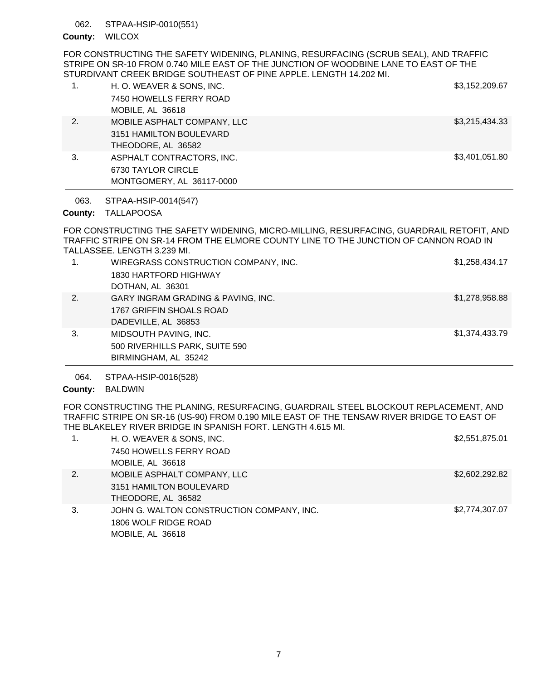#### STPAA-HSIP-0010(551) 062.

### County: WILCOX

FOR CONSTRUCTING THE SAFETY WIDENING, PLANING, RESURFACING (SCRUB SEAL), AND TRAFFIC STRIPE ON SR-10 FROM 0.740 MILE EAST OF THE JUNCTION OF WOODBINE LANE TO EAST OF THE STURDIVANT CREEK BRIDGE SOUTHEAST OF PINE APPLE. LENGTH 14.202 MI.

|    | H. O. WEAVER & SONS, INC.   | \$3,152,209.67 |
|----|-----------------------------|----------------|
|    | 7450 HOWELLS FERRY ROAD     |                |
|    | MOBILE, AL 36618            |                |
| 2. | MOBILE ASPHALT COMPANY, LLC | \$3,215,434.33 |
|    | 3151 HAMILTON BOULEVARD     |                |
|    | THEODORE, AL 36582          |                |
| 3. | ASPHALT CONTRACTORS, INC.   | \$3,401,051.80 |
|    | 6730 TAYLOR CIRCLE          |                |
|    | MONTGOMERY, AL 36117-0000   |                |

STPAA-HSIP-0014(547) 063.

# County: TALLAPOOSA

FOR CONSTRUCTING THE SAFETY WIDENING, MICRO-MILLING, RESURFACING, GUARDRAIL RETOFIT, AND TRAFFIC STRIPE ON SR-14 FROM THE ELMORE COUNTY LINE TO THE JUNCTION OF CANNON ROAD IN TALLASSEE. LENGTH 3.239 MI.

| 1. | WIREGRASS CONSTRUCTION COMPANY, INC.<br>1830 HARTFORD HIGHWAY<br>DOTHAN, AL 36301     | \$1,258,434.17 |
|----|---------------------------------------------------------------------------------------|----------------|
| 2. | GARY INGRAM GRADING & PAVING, INC.<br>1767 GRIFFIN SHOALS ROAD<br>DADEVILLE, AL 36853 | \$1,278,958.88 |
| 3. | MIDSOUTH PAVING, INC.<br>500 RIVERHILLS PARK, SUITE 590<br>BIRMINGHAM, AL 35242       | \$1,374,433.79 |

STPAA-HSIP-0016(528) 064.

County: BALDWIN

FOR CONSTRUCTING THE PLANING, RESURFACING, GUARDRAIL STEEL BLOCKOUT REPLACEMENT, AND TRAFFIC STRIPE ON SR-16 (US-90) FROM 0.190 MILE EAST OF THE TENSAW RIVER BRIDGE TO EAST OF THE BLAKELEY RIVER BRIDGE IN SPANISH FORT. LENGTH 4.615 MI.

|                  | H. O. WEAVER & SONS, INC.                 | \$2,551,875.01 |
|------------------|-------------------------------------------|----------------|
|                  | 7450 HOWELLS FERRY ROAD                   |                |
|                  | MOBILE, AL 36618                          |                |
| $\overline{2}$ . | MOBILE ASPHALT COMPANY, LLC               | \$2,602,292.82 |
|                  | 3151 HAMILTON BOULEVARD                   |                |
|                  | THEODORE, AL 36582                        |                |
| 3.               | JOHN G. WALTON CONSTRUCTION COMPANY, INC. | \$2,774,307.07 |
|                  | 1806 WOLF RIDGE ROAD                      |                |
|                  | MOBILE, AL 36618                          |                |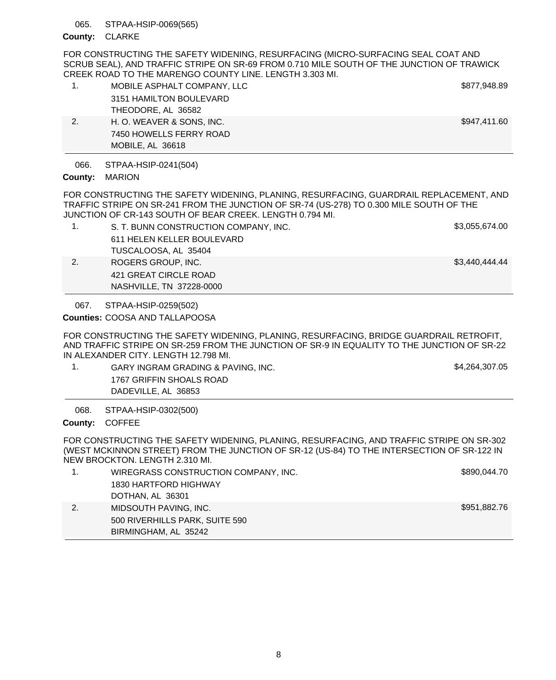#### STPAA-HSIP-0069(565) 065.

### County: CLARKE

FOR CONSTRUCTING THE SAFETY WIDENING, RESURFACING (MICRO-SURFACING SEAL COAT AND SCRUB SEAL), AND TRAFFIC STRIPE ON SR-69 FROM 0.710 MILE SOUTH OF THE JUNCTION OF TRAWICK CREEK ROAD TO THE MARENGO COUNTY LINE. LENGTH 3.303 MI.

|    | MOBILE ASPHALT COMPANY, LLC | \$877,948.89 |
|----|-----------------------------|--------------|
|    | 3151 HAMILTON BOULEVARD     |              |
|    | THEODORE, AL 36582          |              |
| 2. | H. O. WEAVER & SONS, INC.   | \$947,411.60 |
|    | 7450 HOWELLS FERRY ROAD     |              |
|    | MOBILE, AL 36618            |              |

STPAA-HSIP-0241(504) 066.

## County: MARION

FOR CONSTRUCTING THE SAFETY WIDENING, PLANING, RESURFACING, GUARDRAIL REPLACEMENT, AND TRAFFIC STRIPE ON SR-241 FROM THE JUNCTION OF SR-74 (US-278) TO 0.300 MILE SOUTH OF THE JUNCTION OF CR-143 SOUTH OF BEAR CREEK. LENGTH 0.794 MI.

- 1. S. T. BUNN CONSTRUCTION COMPANY, INC. \$3,055,674.00 611 HELEN KELLER BOULEVARD TUSCALOOSA, AL 35404 2. ROGERS GROUP, INC. **\$3,440,444.44** 421 GREAT CIRCLE ROAD
	- NASHVILLE, TN 37228-0000

STPAA-HSIP-0259(502) 067.

COOSA AND TALLAPOOSA **Counties:**

FOR CONSTRUCTING THE SAFETY WIDENING, PLANING, RESURFACING, BRIDGE GUARDRAIL RETROFIT, AND TRAFFIC STRIPE ON SR-259 FROM THE JUNCTION OF SR-9 IN EQUALITY TO THE JUNCTION OF SR-22 IN ALEXANDER CITY. LENGTH 12.798 MI.

1. GARY INGRAM GRADING & PAVING, INC. The state of the state of the S4,264,307.05 1767 GRIFFIN SHOALS ROAD DADEVILLE, AL 36853

STPAA-HSIP-0302(500) 068.

County: COFFEE

FOR CONSTRUCTING THE SAFETY WIDENING, PLANING, RESURFACING, AND TRAFFIC STRIPE ON SR-302 (WEST MCKINNON STREET) FROM THE JUNCTION OF SR-12 (US-84) TO THE INTERSECTION OF SR-122 IN NEW BROCKTON. LENGTH 2.310 MI.

| WIREGRASS CONSTRUCTION COMPANY, INC. | \$890,044.70 |
|--------------------------------------|--------------|
| 1830 HARTFORD HIGHWAY                |              |
| DOTHAN, AL 36301                     |              |
| MIDSOUTH PAVING, INC.                | \$951,882.76 |
| 500 RIVERHILLS PARK, SUITE 590       |              |
| BIRMINGHAM, AL 35242                 |              |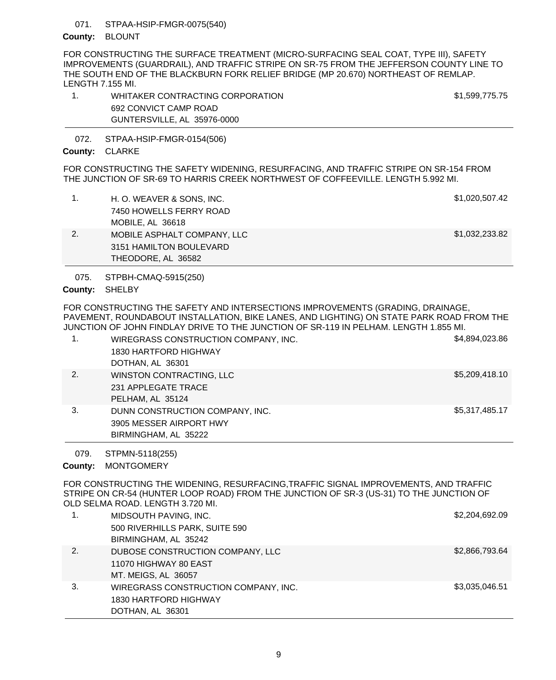#### STPAA-HSIP-FMGR-0075(540) 071.

# County: BLOUNT

FOR CONSTRUCTING THE SURFACE TREATMENT (MICRO-SURFACING SEAL COAT, TYPE III), SAFETY IMPROVEMENTS (GUARDRAIL), AND TRAFFIC STRIPE ON SR-75 FROM THE JEFFERSON COUNTY LINE TO THE SOUTH END OF THE BLACKBURN FORK RELIEF BRIDGE (MP 20.670) NORTHEAST OF REMLAP. LENGTH 7.155 MI.

1. WHITAKER CONTRACTING CORPORATION 61,599,775.75 692 CONVICT CAMP ROAD GUNTERSVILLE, AL 35976-0000

STPAA-HSIP-FMGR-0154(506) 072.

# County: CLARKE

FOR CONSTRUCTING THE SAFETY WIDENING, RESURFACING, AND TRAFFIC STRIPE ON SR-154 FROM THE JUNCTION OF SR-69 TO HARRIS CREEK NORTHWEST OF COFFEEVILLE. LENGTH 5.992 MI.

|    | H. O. WEAVER & SONS, INC.   | \$1,020,507.42 |
|----|-----------------------------|----------------|
|    | 7450 HOWELLS FERRY ROAD     |                |
|    | MOBILE, AL 36618            |                |
| 2. | MOBILE ASPHALT COMPANY, LLC | \$1,032,233.82 |
|    | 3151 HAMILTON BOULEVARD     |                |
|    | THEODORE, AL 36582          |                |

STPBH-CMAQ-5915(250) 075.

County: SHELBY

FOR CONSTRUCTING THE SAFETY AND INTERSECTIONS IMPROVEMENTS (GRADING, DRAINAGE, PAVEMENT, ROUNDABOUT INSTALLATION, BIKE LANES, AND LIGHTING) ON STATE PARK ROAD FROM THE JUNCTION OF JOHN FINDLAY DRIVE TO THE JUNCTION OF SR-119 IN PELHAM. LENGTH 1.855 MI.

|    | WIREGRASS CONSTRUCTION COMPANY, INC.<br>1830 HARTFORD HIGHWAY<br>DOTHAN, AL 36301  | \$4,894,023.86 |
|----|------------------------------------------------------------------------------------|----------------|
| 2. | WINSTON CONTRACTING, LLC<br>231 APPLEGATE TRACE<br>PELHAM, AL 35124                | \$5,209,418.10 |
| 3. | DUNN CONSTRUCTION COMPANY, INC.<br>3905 MESSER AIRPORT HWY<br>BIRMINGHAM, AL 35222 | \$5,317,485.17 |

STPMN-5118(255) 079.

County: MONTGOMERY

FOR CONSTRUCTING THE WIDENING, RESURFACING,TRAFFIC SIGNAL IMPROVEMENTS, AND TRAFFIC STRIPE ON CR-54 (HUNTER LOOP ROAD) FROM THE JUNCTION OF SR-3 (US-31) TO THE JUNCTION OF OLD SELMA ROAD. LENGTH 3.720 MI.

| 1. | MIDSOUTH PAVING, INC.                | \$2,204,692.09 |
|----|--------------------------------------|----------------|
|    | 500 RIVERHILLS PARK, SUITE 590       |                |
|    | BIRMINGHAM, AL 35242                 |                |
| 2. | DUBOSE CONSTRUCTION COMPANY, LLC     | \$2,866,793.64 |
|    | 11070 HIGHWAY 80 EAST                |                |
|    | MT. MEIGS, AL 36057                  |                |
| 3. | WIREGRASS CONSTRUCTION COMPANY, INC. | \$3,035,046.51 |
|    | 1830 HARTFORD HIGHWAY                |                |
|    | DOTHAN, AL 36301                     |                |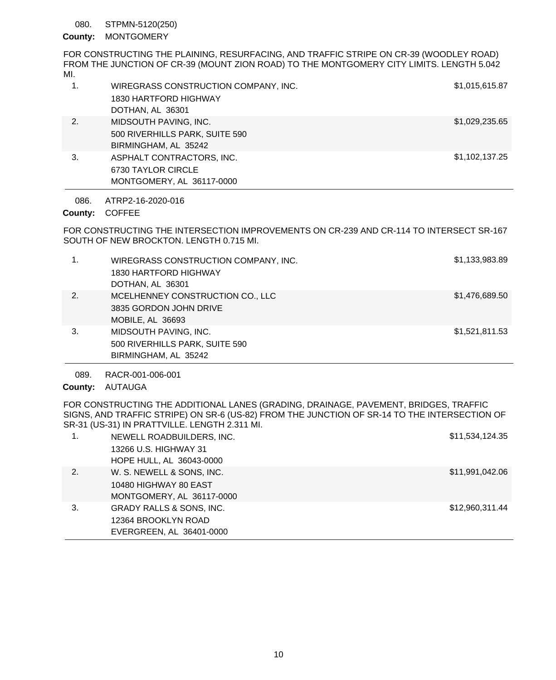#### STPMN-5120(250) 080.

# County: MONTGOMERY

FOR CONSTRUCTING THE PLAINING, RESURFACING, AND TRAFFIC STRIPE ON CR-39 (WOODLEY ROAD) FROM THE JUNCTION OF CR-39 (MOUNT ZION ROAD) TO THE MONTGOMERY CITY LIMITS. LENGTH 5.042 MI.

|    | WIREGRASS CONSTRUCTION COMPANY, INC. | \$1,015,615.87 |
|----|--------------------------------------|----------------|
|    | 1830 HARTFORD HIGHWAY                |                |
|    | DOTHAN, AL 36301                     |                |
| 2. | MIDSOUTH PAVING, INC.                | \$1,029,235.65 |
|    | 500 RIVERHILLS PARK, SUITE 590       |                |
|    | BIRMINGHAM, AL 35242                 |                |
| 3. | ASPHALT CONTRACTORS, INC.            | \$1,102,137.25 |
|    | 6730 TAYLOR CIRCLE                   |                |
|    | MONTGOMERY, AL 36117-0000            |                |

ATRP2-16-2020-016 086.

County: COFFEE

FOR CONSTRUCTING THE INTERSECTION IMPROVEMENTS ON CR-239 AND CR-114 TO INTERSECT SR-167 SOUTH OF NEW BROCKTON. LENGTH 0.715 MI.

| 1. | WIREGRASS CONSTRUCTION COMPANY, INC.<br>1830 HARTFORD HIGHWAY<br>DOTHAN, AL 36301 | \$1,133,983.89 |
|----|-----------------------------------------------------------------------------------|----------------|
| 2. | MCELHENNEY CONSTRUCTION CO., LLC<br>3835 GORDON JOHN DRIVE<br>MOBILE, AL 36693    | \$1,476,689.50 |
| 3. | MIDSOUTH PAVING, INC.<br>500 RIVERHILLS PARK, SUITE 590<br>BIRMINGHAM, AL 35242   | \$1,521,811.53 |

RACR-001-006-001 089.

County: AUTAUGA

FOR CONSTRUCTING THE ADDITIONAL LANES (GRADING, DRAINAGE, PAVEMENT, BRIDGES, TRAFFIC SIGNS, AND TRAFFIC STRIPE) ON SR-6 (US-82) FROM THE JUNCTION OF SR-14 TO THE INTERSECTION OF SR-31 (US-31) IN PRATTVILLE. LENGTH 2.311 MI.

| 1. | NEWELL ROADBUILDERS, INC.           | \$11,534,124.35 |
|----|-------------------------------------|-----------------|
|    | 13266 U.S. HIGHWAY 31               |                 |
|    | HOPE HULL, AL 36043-0000            |                 |
| 2. | W. S. NEWELL & SONS, INC.           | \$11,991,042.06 |
|    | 10480 HIGHWAY 80 EAST               |                 |
|    | MONTGOMERY, AL 36117-0000           |                 |
| 3. | <b>GRADY RALLS &amp; SONS, INC.</b> | \$12,960,311.44 |
|    | 12364 BROOKLYN ROAD                 |                 |
|    | EVERGREEN, AL 36401-0000            |                 |